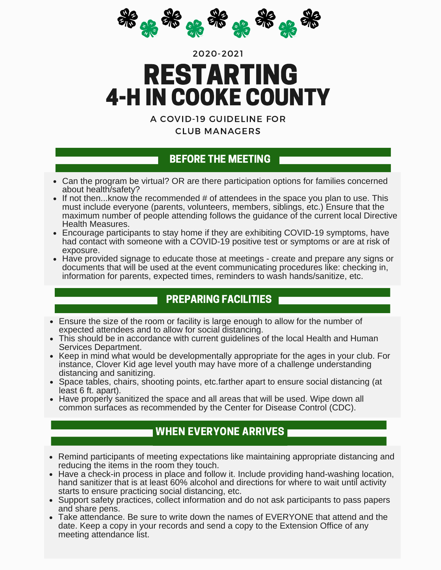

# RESTARTING 2020-2021 4-H IN COOKE COUNTY

A COVID-19 GUIDELINE FOR CLUB MANAGERS

#### BEFORE THE MEETING

- Can the program be virtual? OR are there participation options for families concerned about health/safety?
- If not then...know the recommended  $#$  of attendees in the space you plan to use. This must include everyone (parents, volunteers, members, siblings, etc.) Ensure that the maximum number of people attending follows the quidance of the current local Directive Health Measures.
- Encourage participants to stay home if they are exhibiting COVID-19 symptoms, have had contact with someone with a COVID-19 positive test or symptoms or are at risk of exposure.
- Have provided signage to educate those at meetings create and prepare any signs or documents that will be used at the event communicating procedures like: checking in, information for parents, expected times, reminders to wash hands/sanitize, etc.

## PREPARING FACILITIES

- Ensure the size of the room or facility is large enough to allow for the number of expected attendees and to allow for social distancing.
- This should be in accordance with current guidelines of the local Health and Human Services Department.
- Keep in mind what would be developmentally appropriate for the ages in your club. For instance, Clover Kid age level youth may have more of a challenge understanding distancing and sanitizing.
- Space tables, chairs, shooting points, etc.farther apart to ensure social distancing (at least 6 ft. apart).
- Have properly sanitized the space and all areas that will be used. Wipe down all common surfaces as recommended by the Center for Disease Control (CDC).

# WHEN EVERYONE ARRIVES

- Remind participants of meeting expectations like maintaining appropriate distancing and reducing the items in the room they touch.
- Have a check-in process in place and follow it. Include providing hand-washing location, hand sanitizer that is at least 60% alcohol and directions for where to wait until activity starts to ensure practicing social distancing, etc.
- Support safety practices, collect information and do not ask participants to pass papers and share pens.
- Take attendance. Be sure to write down the names of EVERYONE that attend and the date. Keep a copy in your records and send a copy to the Extension Office of any meeting attendance list.